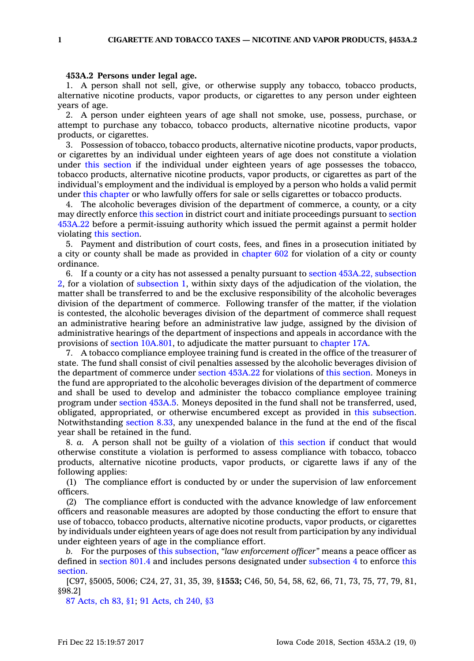## **453A.2 Persons under legal age.**

1. A person shall not sell, give, or otherwise supply any tobacco, tobacco products, alternative nicotine products, vapor products, or cigarettes to any person under eighteen years of age.

2. A person under eighteen years of age shall not smoke, use, possess, purchase, or attempt to purchase any tobacco, tobacco products, alternative nicotine products, vapor products, or cigarettes.

3. Possession of tobacco, tobacco products, alternative nicotine products, vapor products, or cigarettes by an individual under eighteen years of age does not constitute <sup>a</sup> violation under this [section](https://www.legis.iowa.gov/docs/code/453A.2.pdf) if the individual under eighteen years of age possesses the tobacco, tobacco products, alternative nicotine products, vapor products, or cigarettes as part of the individual's employment and the individual is employed by <sup>a</sup> person who holds <sup>a</sup> valid permit under this [chapter](https://www.legis.iowa.gov/docs/code//453A.pdf) or who lawfully offers for sale or sells cigarettes or tobacco products.

4. The alcoholic beverages division of the department of commerce, <sup>a</sup> county, or <sup>a</sup> city may directly enforce this [section](https://www.legis.iowa.gov/docs/code/453A.2.pdf) in district court and initiate proceedings pursuant to [section](https://www.legis.iowa.gov/docs/code/453A.22.pdf) [453A.22](https://www.legis.iowa.gov/docs/code/453A.22.pdf) before <sup>a</sup> permit-issuing authority which issued the permit against <sup>a</sup> permit holder violating this [section](https://www.legis.iowa.gov/docs/code/453A.2.pdf).

5. Payment and distribution of court costs, fees, and fines in <sup>a</sup> prosecution initiated by <sup>a</sup> city or county shall be made as provided in [chapter](https://www.legis.iowa.gov/docs/code//602.pdf) 602 for violation of <sup>a</sup> city or county ordinance.

6. If <sup>a</sup> county or <sup>a</sup> city has not assessed <sup>a</sup> penalty pursuant to section 453A.22, [subsection](https://www.legis.iowa.gov/docs/code/453A.22.pdf) [2](https://www.legis.iowa.gov/docs/code/453A.22.pdf), for <sup>a</sup> violation of [subsection](https://www.legis.iowa.gov/docs/code/453A.2.pdf) 1, within sixty days of the adjudication of the violation, the matter shall be transferred to and be the exclusive responsibility of the alcoholic beverages division of the department of commerce. Following transfer of the matter, if the violation is contested, the alcoholic beverages division of the department of commerce shall request an administrative hearing before an administrative law judge, assigned by the division of administrative hearings of the department of inspections and appeals in accordance with the provisions of section [10A.801](https://www.legis.iowa.gov/docs/code/10A.801.pdf), to adjudicate the matter pursuant to [chapter](https://www.legis.iowa.gov/docs/code//17A.pdf) 17A.

7. A tobacco compliance employee training fund is created in the office of the treasurer of state. The fund shall consist of civil penalties assessed by the alcoholic beverages division of the department of commerce under section [453A.22](https://www.legis.iowa.gov/docs/code/453A.22.pdf) for violations of this [section](https://www.legis.iowa.gov/docs/code/453A.2.pdf). Moneys in the fund are appropriated to the alcoholic beverages division of the department of commerce and shall be used to develop and administer the tobacco compliance employee training program under [section](https://www.legis.iowa.gov/docs/code/453A.5.pdf) 453A.5. Moneys deposited in the fund shall not be transferred, used, obligated, appropriated, or otherwise encumbered except as provided in this [subsection](https://www.legis.iowa.gov/docs/code/453A.2.pdf). Notwithstanding [section](https://www.legis.iowa.gov/docs/code/8.33.pdf) 8.33, any unexpended balance in the fund at the end of the fiscal year shall be retained in the fund.

8. *a.* A person shall not be guilty of <sup>a</sup> violation of this [section](https://www.legis.iowa.gov/docs/code/453A.2.pdf) if conduct that would otherwise constitute <sup>a</sup> violation is performed to assess compliance with tobacco, tobacco products, alternative nicotine products, vapor products, or cigarette laws if any of the following applies:

(1) The compliance effort is conducted by or under the supervision of law enforcement officers.

(2) The compliance effort is conducted with the advance knowledge of law enforcement officers and reasonable measures are adopted by those conducting the effort to ensure that use of tobacco, tobacco products, alternative nicotine products, vapor products, or cigarettes by individuals under eighteen years of age does not result from participation by any individual under eighteen years of age in the compliance effort.

*b.* For the purposes of this [subsection](https://www.legis.iowa.gov/docs/code/453A.2.pdf), *"law enforcement officer"* means <sup>a</sup> peace officer as defined in [section](https://www.legis.iowa.gov/docs/code/801.4.pdf) 801.4 and includes persons designated under [subsection](https://www.legis.iowa.gov/docs/code/453A.2.pdf) 4 to enforce [this](https://www.legis.iowa.gov/docs/code/453A.2.pdf) [section](https://www.legis.iowa.gov/docs/code/453A.2.pdf).

[C97, §5005, 5006; C24, 27, 31, 35, 39, §**1553;** C46, 50, 54, 58, 62, 66, 71, 73, 75, 77, 79, 81, §98.2]

87 [Acts,](https://www.legis.iowa.gov/docs/acts/87/CH0083.pdf) ch 83, §1; 91 [Acts,](https://www.legis.iowa.gov/docs/acts/91/CH0240.pdf) ch 240, §3